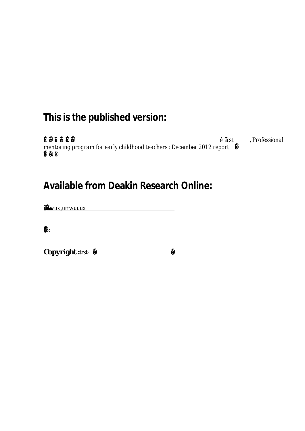# **This is the published version:**

**'Žƒ•ᕆ"‡ƒá'"‹•‡›á•‡æƒ"‹‡á‡ƒŠ•á
‡•‹ƒ•†—•‡•† •á"‹•trst** *, Professional mentoring program for early childhood teachers : December 2012 reportᇒƒ"–•‡•–'ˆ†—…ƒ–‹'• ƒ•†ƒ"ޛЋކБ‡˜Ž''•‡•–ᇎ"'—"•‡á‹…*

# **Available from Deakin Research Online:**

**Š–'ã-ІŽäŠƒ•†Ž‡ä•–-**<u>SFuvärruvuu</u> **-**

 $\mathbf{M}_{\odot}$ **‡'"'†—…‡†™‹–Ї•‹•†'‡"•‹•'•ˆ–Ї…''›"‹‰Š–'™•‡"ä**

 $\bullet$  **≸**<br>Copyright :tr<del>s≰.</del>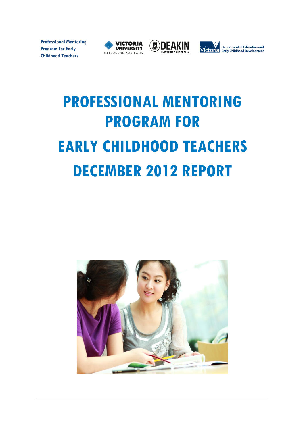**Professional Mentoring Program for Early Childhood Teachers**







# **PROFESSIONAL MENTORING PROGRAM FOR EARLY CHILDHOOD TEACHERS DECEMBER 2012 REPORT**

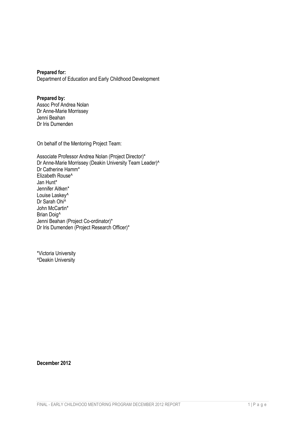**Prepared for:** Department of Education and Early Childhood Development

#### **Prepared by:**

Assoc Prof Andrea Nolan Dr Anne-Marie Morrissey Jenni Beahan Dr Iris Dumenden

On behalf of the Mentoring Project Team:

Associate Professor Andrea Nolan (Project Director)\* Dr Anne-Marie Morrissey (Deakin University Team Leader)^ Dr Catherine Hamm\* Elizabeth Rouse^ Jan Hunt\* Jennifer Aitken\* Louise Laskey^ Dr Sarah Ohi^ John McCartin\* Brian Doig^ Jenni Beahan (Project Co-ordinator)\* Dr Iris Dumenden (Project Research Officer)\*

\*Victoria University ^Deakin University

**December 2012**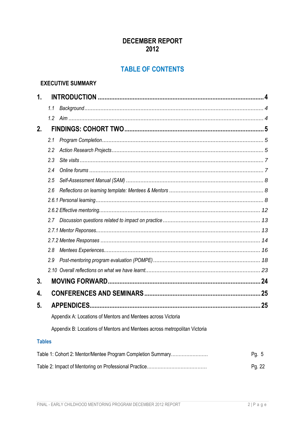# **DECEMBER REPORT** 2012

# **TABLE OF CONTENTS**

#### **EXECUTIVE SUMMARY**

| 1.            |     |                                                                           |       |  |  |
|---------------|-----|---------------------------------------------------------------------------|-------|--|--|
|               | 1.1 |                                                                           |       |  |  |
|               | 1.2 |                                                                           |       |  |  |
| 2.            |     |                                                                           |       |  |  |
|               | 2.1 |                                                                           |       |  |  |
|               | 2.2 |                                                                           |       |  |  |
|               | 2.3 |                                                                           |       |  |  |
|               | 2.4 |                                                                           |       |  |  |
|               | 2.5 |                                                                           |       |  |  |
|               | 2.6 |                                                                           |       |  |  |
|               |     |                                                                           |       |  |  |
|               |     |                                                                           |       |  |  |
|               | 2.7 |                                                                           |       |  |  |
|               |     |                                                                           |       |  |  |
|               |     |                                                                           |       |  |  |
|               | 2.8 |                                                                           |       |  |  |
|               | 2.9 |                                                                           |       |  |  |
|               |     |                                                                           |       |  |  |
| 3.            |     |                                                                           |       |  |  |
| 4.            |     |                                                                           |       |  |  |
| 5.            |     |                                                                           |       |  |  |
|               |     | Appendix A: Locations of Mentors and Mentees across Victoria              |       |  |  |
|               |     | Appendix B: Locations of Mentors and Mentees across metropolitan Victoria |       |  |  |
| <b>Tables</b> |     |                                                                           |       |  |  |
|               |     | Table 1: Cohort 2: Mentor/Mentee Program Completion Summary               | Pg. 5 |  |  |

Pg. 22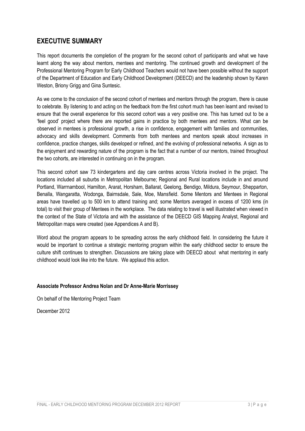# **EXECUTIVE SUMMARY**

This report documents the completion of the program for the second cohort of participants and what we have learnt along the way about mentors, mentees and mentoring. The continued growth and development of the Professional Mentoring Program for Early Childhood Teachers would not have been possible without the support of the Department of Education and Early Childhood Development (DEECD) and the leadership shown by Karen Weston, Briony Grigg and Gina Suntesic.

As we come to the conclusion of the second cohort of mentees and mentors through the program, there is cause to celebrate. By listening to and acting on the feedback from the first cohort much has been learnt and revised to ensure that the overall experience for this second cohort was a very positive one. This has turned out to be a 'feel good' project where there are reported gains in practice by both mentees and mentors. What can be observed in mentees is professional growth, a rise in confidence, engagement with families and communities, advocacy and skills development. Comments from both mentees and mentors speak about increases in confidence, practice changes, skills developed or refined, and the evolving of professional networks. A sign as to the enjoyment and rewarding nature of the program is the fact that a number of our mentors, trained throughout the two cohorts, are interested in continuing on in the program.

This second cohort saw 73 kindergartens and day care centres across Victoria involved in the project. The locations included all suburbs in Metropolitan Melbourne; Regional and Rural locations include in and around Portland, Warrnambool, Hamilton, Ararat, Horsham, Ballarat, Geelong, Bendigo, Mildura, Seymour, Shepparton, Benalla, Wangaratta, Wodonga, Bairnsdale, Sale, Moe, Mansfield. Some Mentors and Mentees in Regional areas have travelled up to 500 km to attend training and; some Mentors averaged in excess of 1200 kms (in total) to visit their group of Mentees in the workplace. The data relating to travel is well illustrated when viewed in the context of the State of Victoria and with the assistance of the DEECD GIS Mapping Analyst, Regional and Metropolitan maps were created (see Appendices A and B).

Word about the program appears to be spreading across the early childhood field. In considering the future it would be important to continue a strategic mentoring program within the early childhood sector to ensure the culture shift continues to strengthen. Discussions are taking place with DEECD about what mentoring in early childhood would look like into the future. We applaud this action.

#### **Associate Professor Andrea Nolan and Dr Anne-Marie Morrissey**

On behalf of the Mentoring Project Team

December 2012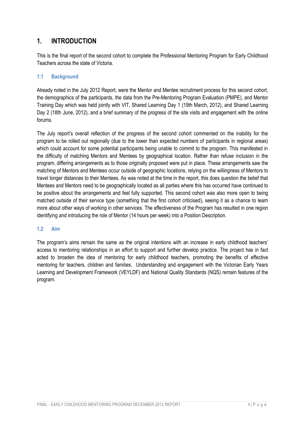# <span id="page-5-0"></span>**1. INTRODUCTION**

This is the final report of the second cohort to complete the Professional Mentoring Program for Early Childhood Teachers across the state of Victoria.

#### <span id="page-5-1"></span>**1.1 Background**

Already noted in the July 2012 Report, were the Mentor and Mentee recruitment process for this second cohort, the demographics of the participants, the data from the Pre-Mentoring Program Evaluation (PMPE), and Mentor Training Day which was held jointly with VIT, Shared Learning Day 1 (19th March, 2012), and Shared Learning Day 2 (18th June, 2012), and a brief summary of the progress of the site visits and engagement with the online forums.

The July report's overall reflection of the progress of the second cohort commented on the inability for the program to be rolled out regionally (due to the lower than expected numbers of participants in regional areas) which could account for some potential participants being unable to commit to the program. This manifested in the difficulty of matching Mentors and Mentees by geographical location. Rather than refuse inclusion in the program, differing arrangements as to those originally proposed were put in place. These arrangements saw the matching of Mentors and Mentees occur outside of geographic locations, relying on the willingness of Mentors to travel longer distances to their Mentees. As was noted at the time in the report, this does question the belief that Mentees and Mentors need to be geographically located as all parties where this has occurred have continued to be positive about the arrangements and feel fully supported. This second cohort was also more open to being matched outside of their service type (something that the first cohort criticised), seeing it as a chance to learn more about other ways of working in other services. The effectiveness of the Program has resulted in one region identifying and introducing the role of Mentor (14 hours per week) into a Position Description.

#### <span id="page-5-2"></span>**1.2 Aim**

The program's aims remain the same as the original intentions with an increase in early childhood teachers' access to mentoring relationships in an effort to support and further develop practice. The project has in fact acted to broaden the idea of mentoring for early childhood teachers, promoting the benefits of effective mentoring for teachers, children and families. Understanding and engagement with the Victorian Early Years Learning and Development Framework (VEYLDF) and National Quality Standards (NQS) remain features of the program.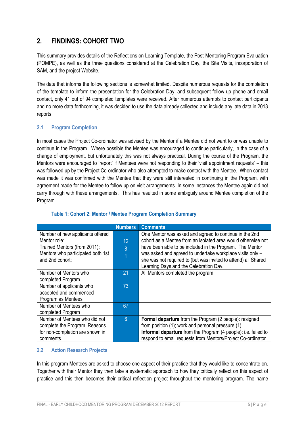# <span id="page-6-0"></span>**2. FINDINGS: COHORT TWO**

This summary provides details of the Reflections on Learning Template, the Post-Mentoring Program Evaluation (POMPE), as well as the three questions considered at the Celebration Day, the Site Visits, incorporation of SAM, and the project Website.

The data that informs the following sections is somewhat limited. Despite numerous requests for the completion of the template to inform the presentation for the Celebration Day, and subsequent follow up phone and email contact, only 41 out of 94 completed templates were received. After numerous attempts to contact participants and no more data forthcoming, it was decided to use the data already collected and include any late data in 2013 reports.

#### <span id="page-6-1"></span>**2.1 Program Completion**

In most cases the Project Co-ordinator was advised by the Mentor if a Mentee did not want to or was unable to continue in the Program. Where possible the Mentee was encouraged to continue particularly, in the case of a change of employment, but unfortunately this was not always practical. During the course of the Program, the Mentors were encouraged to 'report' if Mentees were not responding to their 'visit appointment requests' – this was followed up by the Project Co-ordinator who also attempted to make contact with the Mentee. When contact was made it was confirmed with the Mentee that they were still interested in continuing in the Program, with agreement made for the Mentee to follow up on visit arrangements. In some instances the Mentee again did not carry through with these arrangements. This has resulted in some ambiguity around Mentee completion of the Program.

|                                   | <b>Numbers</b>  | <b>Comments</b>                                                |
|-----------------------------------|-----------------|----------------------------------------------------------------|
| Number of new applicants offered  |                 | One Mentor was asked and agreed to continue in the 2nd         |
| Mentor role:                      | 12 <sup>°</sup> | cohort as a Mentee from an isolated area would otherwise not   |
| Trained Mentors (from 2011):      | 8               | have been able to be included in the Program. The Mentor       |
| Mentors who participated both 1st | $\overline{1}$  | was asked and agreed to undertake workplace visits only -      |
| and 2nd cohort:                   |                 | she was not required to (but was invited to attend) all Shared |
|                                   |                 | Learning Days and the Celebration Day.                         |
| Number of Mentors who             | 21              | All Mentors completed the program                              |
| completed Program                 |                 |                                                                |
| Number of applicants who          | 73              |                                                                |
| accepted and commenced            |                 |                                                                |
| Program as Mentees                |                 |                                                                |
| Number of Mentees who             | 67              |                                                                |
| completed Program                 |                 |                                                                |
| Number of Mentees who did not     | $6\phantom{1}6$ | Formal departure from the Program (2 people): resigned         |
| complete the Program. Reasons     |                 | from position (1); work and personal pressure (1)              |
| for non-completion are shown in   |                 | Informal departure from the Program (4 people): i.e. failed to |
| comments                          |                 | respond to email requests from Mentors/Project Co-ordinator    |

#### **Table 1: Cohort 2: Mentor / Mentee Program Completion Summary**

#### <span id="page-6-2"></span>**2.2 Action Research Projects**

In this program Mentees are asked to choose one aspect of their practice that they would like to concentrate on. Together with their Mentor they then take a systematic approach to how they critically reflect on this aspect of practice and this then becomes their critical reflection project throughout the mentoring program. The name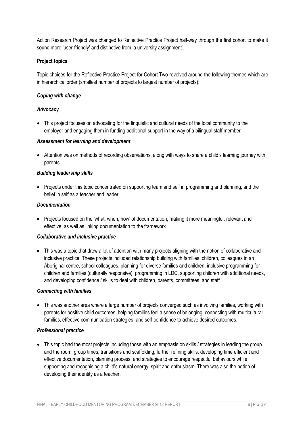Action Research Project was changed to Reflective Practice Project half-way through the first cohort to make it sound more 'user-friendly' and distinctive from 'a university assignment'.

#### **Project topics**

Topic choices for the Reflective Practice Project for Cohort Two revolved around the following themes which are in hierarchical order (smallest number of projects to largest number of projects):

#### *Coping with change*

#### *Advocacy*

 This project focuses on advocating for the linguistic and cultural needs of the local community to the employer and engaging them in funding additional support in the way of a bilingual staff member

#### *Assessment for learning and development*

• Attention was on methods of recording observations, along with ways to share a child's learning journey with parents

#### *Building leadership skills*

• Projects under this topic concentrated on supporting team and self in programming and planning, and the belief in self as a teacher and leader

#### *Documentation*

• Projects focused on the 'what, when, how' of documentation, making it more meaningful, relevant and effective, as well as linking documentation to the framework

#### *Collaborative and inclusive practice*

• This was a topic that drew a lot of attention with many projects aligning with the notion of collaborative and inclusive practice. These projects included relationship building with families, children, colleagues in an Aboriginal centre, school colleagues, planning for diverse families and children, inclusive programming for children and families (culturally responsive), programming in LDC, supporting children with additional needs, and developing confidence / skills to deal with children, parents, committees, and staff.

#### *Connecting with families*

 This was another area where a large number of projects converged such as involving families, working with parents for positive child outcomes, helping families feel a sense of belonging, connecting with multicultural families, effective communication strategies, and self-confidence to achieve desired outcomes.

#### *Professional practice*

<span id="page-7-0"></span>• This topic had the most projects including those with an emphasis on skills / strategies in leading the group and the room, group times, transitions and scaffolding, further refining skills, developing time efficient and effective documentation, planning process, and strategies to encourage respectful behaviours while supporting and recognising a child's natural energy, spirit and enthusiasm. There was also the notion of developing their identity as a teacher.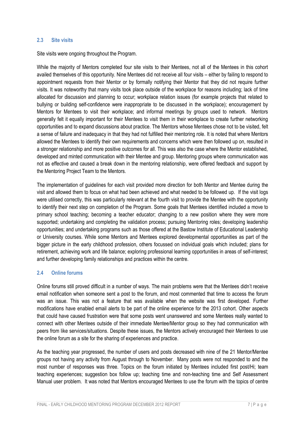#### **2.3 Site visits**

Site visits were ongoing throughout the Program.

While the majority of Mentors completed four site visits to their Mentees, not all of the Mentees in this cohort availed themselves of this opportunity. Nine Mentees did not receive all four visits – either by failing to respond to appointment requests from their Mentor or by formally notifying their Mentor that they did not require further visits. It was noteworthy that many visits took place outside of the workplace for reasons including; lack of time allocated for discussion and planning to occur; workplace relation issues (for example projects that related to bullying or building self-confidence were inappropriate to be discussed in the workplace); encouragement by Mentors for Mentees to visit their workplace; and informal meetings by groups used to network. Mentors generally felt it equally important for their Mentees to visit them in their workplace to create further networking opportunities and to expand discussions about practice. The Mentors whose Mentees chose not to be visited, felt a sense of failure and inadequacy in that they had not fulfilled their mentoring role. It is noted that where Mentors allowed the Mentees to identify their own requirements and concerns which were then followed up on, resulted in a stronger relationship and more positive outcomes for all. This was also the case where the Mentor established, developed and minted communication with their Mentee and group. Mentoring groups where communication was not as effective and caused a break down in the mentoring relationship, were offered feedback and support by the Mentoring Project Team to the Mentors.

The implementation of guidelines for each visit provided more direction for both Mentor and Mentee during the visit and allowed them to focus on what had been achieved and what needed to be followed up. If the visit logs were utilised correctly, this was particularly relevant at the fourth visit to provide the Mentee with the opportunity to identify their next step on completion of the Program. Some goals that Mentees identified included a move to primary school teaching; becoming a teacher educator; changing to a new position where they were more supported; undertaking and completing the validation process; pursuing Mentoring roles; developing leadership opportunities; and undertaking programs such as those offered at the Bastow Institute of Educational Leadership or University courses. While some Mentors and Mentees explored developmental opportunities as part of the bigger picture in the early childhood profession, others focussed on individual goals which included; plans for retirement, achieving work and life balance; exploring professional learning opportunities in areas of self-interest; and further developing family relationships and practices within the centre.

#### <span id="page-8-0"></span>**2.4 Online forums**

Online forums still proved difficult in a number of ways. The main problems were that the Mentees didn't receive email notification when someone sent a post to the forum, and most commented that time to access the forum was an issue. This was not a feature that was available when the website was first developed. Further modifications have enabled email alerts to be part of the online experience for the 2013 cohort. Other aspects that could have caused frustration were that some posts went unanswered and some Mentees really wanted to connect with other Mentees outside of their immediate Mentee/Mentor group so they had communication with peers from like services/situations. Despite these issues, the Mentors actively encouraged their Mentees to use the online forum as a site for the sharing of experiences and practice.

As the teaching year progressed, the number of users and posts decreased with nine of the 21 Mentor/Mentee groups not having any activity from August through to November. Many posts were not responded to and the most number of responses was three. Topics on the forum initiated by Mentees included first post/Hi; team teaching experiences; suggestion box follow up; teaching time and non-teaching time and Self Assessment Manual user problem. It was noted that Mentors encouraged Mentees to use the forum with the topics of centre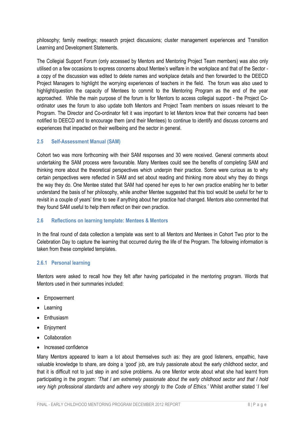philosophy; family meetings; research project discussions; cluster management experiences and Transition Learning and Development Statements.

The Collegial Support Forum (only accessed by Mentors and Mentoring Project Team members) was also only utilised on a few occasions to express concerns about Mentee's welfare in the workplace and that of the Sector a copy of the discussion was edited to delete names and workplace details and then forwarded to the DEECD Project Managers to highlight the worrying experiences of teachers in the field. The forum was also used to highlight/question the capacity of Mentees to commit to the Mentoring Program as the end of the year approached. While the main purpose of the forum is for Mentors to access collegial support - the Project Coordinator uses the forum to also update both Mentors and Project Team members on issues relevant to the Program. The Director and Co-ordinator felt it was important to let Mentors know that their concerns had been notified to DEECD and to encourage them (and their Mentees) to continue to identify and discuss concerns and experiences that impacted on their wellbeing and the sector in general.

#### <span id="page-9-0"></span>**2.5 Self-Assessment Manual (SAM)**

Cohort two was more forthcoming with their SAM responses and 30 were received. General comments about undertaking the SAM process were favourable. Many Mentees could see the benefits of completing SAM and thinking more about the theoretical perspectives which underpin their practice. Some were curious as to why certain perspectives were reflected in SAM and set about reading and thinking more about why they do things the way they do. One Mentee stated that SAM had opened her eyes to her own practice enabling her to better understand the basis of her philosophy, while another Mentee suggested that this tool would be useful for her to revisit in a couple of years' time to see if anything about her practice had changed. Mentors also commented that they found SAM useful to help them reflect on their own practice.

#### <span id="page-9-1"></span>**2.6 Reflections on learning template: Mentees & Mentors**

In the final round of data collection a template was sent to all Mentors and Mentees in Cohort Two prior to the Celebration Day to capture the learning that occurred during the life of the Program. The following information is taken from these completed templates.

#### <span id="page-9-2"></span>**2.6.1 Personal learning**

Mentors were asked to recall how they felt after having participated in the mentoring program. Words that Mentors used in their summaries included:

- Empowerment
- Learning
- Enthusiasm
- Enjoyment
- Collaboration
- Increased confidence

Many Mentors appeared to learn a lot about themselves such as: they are good listeners, empathic, have valuable knowledge to share, are doing a 'good' job, are truly passionate about the early childhood sector, and that it is difficult not to just step in and solve problems. As one Mentor wrote about what she had learnt from participating in the program: *'That I am extremely passionate about the early childhood sector and that I hold very high professional standards and adhere very strongly to the Code of Ethics.'* Whilst another stated '*I feel*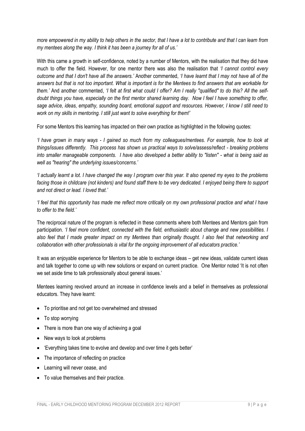*more empowered in my ability to help others in the sector, that l have a lot to contribute and that l can learn from my mentees along the way. I think it has been a journey for all of us.'*

With this came a growth in self-confidence, noted by a number of Mentors, with the realisation that they did have much to offer the field. However, for one mentor there was also the realisation that *'I cannot control every outcome and that I don't have all the answers.'* Another commented, *'I have learnt that I may not have all of the answers but that is not too important. What is important is for the Mentees to find answers that are workable for them.'* And another commented, *'I felt at first what could I offer? Am I really "qualified" to do this? All the selfdoubt things you have, especially on the first mentor shared learning day. Now I feel I have something to offer, sage advice, ideas, empathy, sounding board, emotional support and resources. However, I know I still need to work on my skills in mentoring. I still just want to solve everything for them!'*

For some Mentors this learning has impacted on their own practice as highlighted in the following quotes:

*'I have grown in many ways - I gained so much from my colleagues/mentees. For example, how to look at things/issues differently. This process has shown us practical ways to solve/assess/reflect - breaking problems into smaller manageable components. I have also developed a better ability to "listen" - what is being said as well as "hearing" the underlying issues/concerns.'*

*'I actually learnt a lot. I have changed the way I program over this year. It also opened my eyes to the problems facing those in childcare (not kinders) and found staff there to be very dedicated. I enjoyed being there to support and not direct or lead. I loved that.'*

*'I feel that this opportunity has made me reflect more critically on my own professional practice and what I have to offer to the field.'* 

The reciprocal nature of the program is reflected in these comments where both Mentees and Mentors gain from participation. *'I feel more confident, connected with the field, enthusiastic about change and new possibilities. I also feel that I made greater impact on my Mentees than originally thought. I also feel that networking and collaboration with other professionals is vital for the ongoing improvement of all educators practice.'* 

It was an enjoyable experience for Mentors to be able to exchange ideas – get new ideas, validate current ideas and talk together to come up with new solutions or expand on current practice. One Mentor noted 'It is not often we set aside time to talk professionally about general issues.'

Mentees learning revolved around an increase in confidence levels and a belief in themselves as professional educators. They have learnt:

- To prioritise and not get too overwhelmed and stressed
- To stop worrying
- There is more than one way of achieving a goal
- New ways to look at problems
- 'Everything takes time to evolve and develop and over time it gets better'
- The importance of reflecting on practice
- Learning will never cease, and
- To value themselves and their practice.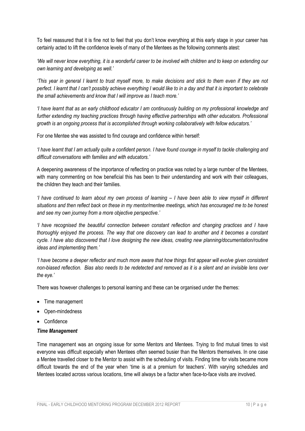To feel reassured that it is fine not to feel that you don't know everything at this early stage in your career has certainly acted to lift the confidence levels of many of the Mentees as the following comments atest:

*'We will never know everything, it is a wonderful career to be involved with children and to keep on extending our own learning and developing as well.'*

*'This year in general I learnt to trust myself more, to make decisions and stick to them even if they are not perfect. I learnt that I can't possibly achieve everything I would like to in a day and that it is important to celebrate the small achievements and know that I will improve as I teach more.'*

*'I have learnt that as an early childhood educator I am continuously building on my professional knowledge and* further extending my teaching practices through having effective partnerships with other educators. Professional *growth is an ongoing process that is accomplished through working collaboratively with fellow educators.'*

For one Mentee she was assisted to find courage and confidence within herself:

*'I have learnt that I am actually quite a confident person. I have found courage in myself to tackle challenging and difficult conversations with families and with educators.'* 

A deepening awareness of the importance of reflecting on practice was noted by a large number of the Mentees, with many commenting on how beneficial this has been to their understanding and work with their colleagues, the children they teach and their families.

*'I have continued to learn about my own process of learning – I have been able to view myself in different situations and then reflect back on these in my mentor/mentee meetings, which has encouraged me to be honest and see my own journey from a more objective perspective.'*

*'I have recognised the beautiful connection between constant reflection and changing practices and I have thoroughly enjoyed the process. The way that one discovery can lead to another and it becomes a constant cycle. I have also discovered that I love designing the new ideas, creating new planning/documentation/routine ideas and implementing them.'*

*'I have become a deeper reflector and much more aware that how things first appear will evolve given consistent non-biased reflection. Bias also needs to be redetected and removed as it is a silent and an invisible lens over the eye.'*

There was however challenges to personal learning and these can be organised under the themes:

- Time management
- Open-mindedness
- Confidence

#### *Time Management*

Time management was an ongoing issue for some Mentors and Mentees. Trying to find mutual times to visit everyone was difficult especially when Mentees often seemed busier than the Mentors themselves. In one case a Mentee travelled closer to the Mentor to assist with the scheduling of visits. Finding time for visits became more difficult towards the end of the year when 'time is at a premium for teachers'. With varying schedules and Mentees located across various locations, time will always be a factor when face-to-face visits are involved.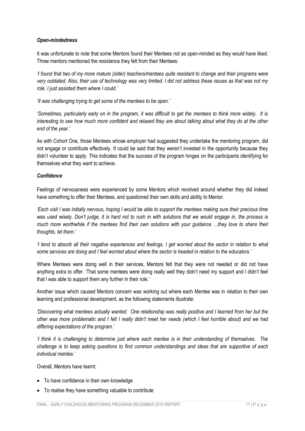#### *Open-mindedness*

It was unfortunate to note that some Mentors found their Mentees not as open-minded as they would have liked. Three mentors mentioned the resistance they felt from their Mentees:

*'I found that two of my more mature (older) teachers/mentees quite resistant to change and their programs were very outdated. Also, their use of technology was very limited. I did not address these issues as that was not my role. I just assisted them where I could.'*

*'It was challenging trying to get some of the mentees to be open.'*

*'Sometimes, particularly early on in the program, it was difficult to get the mentees to think more widely. It is interesting to see how much more confident and relaxed they are about talking about what they do at the other end of the year.'*

As with Cohort One, those Mentees whose employer had suggested they undertake the mentoring program, did not engage or contribute effectively. It could be said that they weren't invested in the opportunity because they didn't volunteer to apply. This indicates that the success of the program hinges on the participants identifying for themselves what they want to achieve.

#### *Confidence*

Feelings of nervousness were experienced by some Mentors which revolved around whether they did indeed have something to offer their Mentees, and questioned their own skills and ability to Mentor.

*'Each visit I was initially nervous, hoping I would be able to support the mentees making sure their precious time was used wisely. Don't judge, it is hard not to rush in with solutions that we would engage in, the process is much more worthwhile if the mentees find their own solutions with your guidance …they love to share their thoughts, let them.'*

*'I tend to absorb all their negative experiences and feelings. I get worried about the sector in relation to what some services are doing and I feel worried about where the sector is headed in relation to the educators.'*

Where Mentees were doing well in their services, Mentors felt that they were not needed or did not have anything extra to offer. 'That some mentees were doing really well they didn't need my support and l didn't feel that l was able to support them any further in their role.'

Another issue which caused Mentors concern was working out where each Mentee was in relation to their own learning and professional development, as the following statements illustrate:

*'Discovering what mentees actually wanted. One relationship was really positive and I learned from her but the other was more problematic and I felt I really didn't meet her needs (which I feel horrible about) and we had differing expectations of the program.'* 

*'I think it is challenging to determine just where each mentee is in their understanding of themselves. The challenge is to keep asking questions to find common understandings and ideas that are supportive of each individual mentee.'*

Overall, Mentors have learnt:

- To have confidence in their own knowledge
- To realise they have something valuable to contribute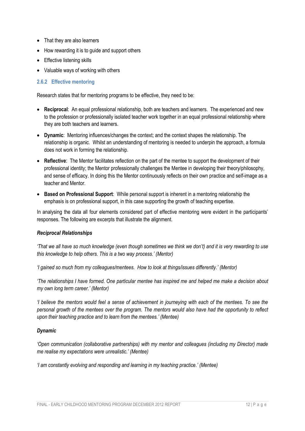- That they are also learners
- How rewarding it is to quide and support others
- Effective listening skills
- Valuable ways of working with others

#### <span id="page-13-0"></span>**2.6.2 Effective mentoring**

Research states that for mentoring programs to be effective, they need to be:

- **Reciprocal**: An equal professional relationship, both are teachers and learners. The experienced and new to the profession or professionally isolated teacher work together in an equal professional relationship where they are both teachers and learners.
- **Dynamic**: Mentoring influences/changes the context; and the context shapes the relationship. The relationship is organic. Whilst an understanding of mentoring is needed to underpin the approach, a formula does not work in forming the relationship.
- **Reflective**: The Mentor facilitates reflection on the part of the mentee to support the development of their professional identity; the Mentor professionally challenges the Mentee in developing their theory/philosophy, and sense of efficacy. In doing this the Mentor continuously reflects on their own practice and self-image as a teacher and Mentor.
- **Based on Professional Support**: While personal support is inherent in a mentoring relationship the emphasis is on professional support, in this case supporting the growth of teaching expertise.

In analysing the data all four elements considered part of effective mentoring were evident in the participants' responses. The following are excerpts that illustrate the alignment.

#### *Reciprocal Relationships*

*'That we all have so much knowledge (even though sometimes we think we don't) and it is very rewarding to use this knowledge to help others. This is a two way process.' (Mentor)*

*'I gained so much from my colleagues/mentees. How to look at things/issues differently.' (Mentor)*

*'The relationships I have formed. One particular mentee has inspired me and helped me make a decision about my own long term career.' (Mentor)*

*'I believe the mentors would feel a sense of achievement in journeying with each of the mentees. To see the personal growth of the mentees over the program. The mentors would also have had the opportunity to reflect upon their teaching practice and to learn from the mentees.' (Mentee)*

#### *Dynamic*

*'Open communication (collaborative partnerships) with my mentor and colleagues (including my Director) made me realise my expectations were unrealistic.' (Mentee)*

*'I am constantly evolving and responding and learning in my teaching practice.' (Mentee)*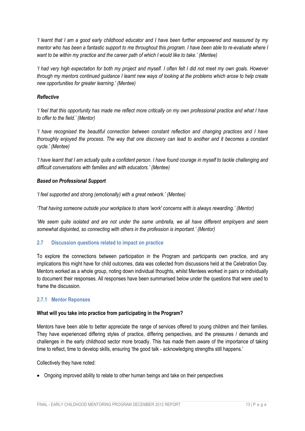*'I learnt that I am a good early childhood educator and I have been further empowered and reassured by my mentor who has been a fantastic support to me throughout this program. I have been able to re-evaluate where I want to be within my practice and the career path of which I would like to take.' (Mentee)*

*'I had very high expectation for both my project and myself. I often felt I did not meet my own goals. However through my mentors continued guidance I learnt new ways of looking at the problems which arose to help create new opportunities for greater learning.' (Mentee)*

#### *Reflective*

*'I feel that this opportunity has made me reflect more critically on my own professional practice and what I have to offer to the field.' (Mentor)*

*'I have recognised the beautiful connection between constant reflection and changing practices and I have thoroughly enjoyed the process. The way that one discovery can lead to another and it becomes a constant cycle.' (Mentee)*

*'I have learnt that I am actually quite a confident person. I have found courage in myself to tackle challenging and difficult conversations with families and with educators.' (Mentee)*

#### *Based on Professional Support*

*'I feel supported and strong (emotionally) with a great network.' (Mentee)*

*'That having someone outside your workplace to share 'work' concerns with is always rewarding.' (Mentor)*

*'We seem quite isolated and are not under the same umbrella, we all have different employers and seem somewhat disjointed, so connecting with others in the profession is important.' (Mentor)*

#### <span id="page-14-0"></span>**2.7 Discussion questions related to impact on practice**

To explore the connections between participation in the Program and participants own practice, and any implications this might have for child outcomes, data was collected from discussions held at the Celebration Day. Mentors worked as a whole group, noting down individual thoughts, whilst Mentees worked in pairs or individually to document their responses. All responses have been summarised below under the questions that were used to frame the discussion.

#### <span id="page-14-1"></span>**2.7.1 Mentor Reponses**

#### **What will you take into practice from participating in the Program?**

Mentors have been able to better appreciate the range of services offered to young children and their families. They have experienced differing styles of practice, differing perspectives, and the pressures / demands and challenges in the early childhood sector more broadly. This has made them aware of the importance of taking time to reflect, time to develop skills, ensuring 'the good talk - acknowledging strengths still happens.'

Collectively they have noted:

• Ongoing improved ability to relate to other human beings and take on their perspectives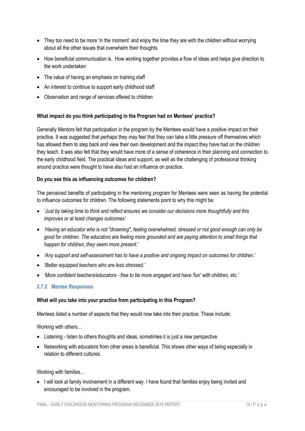- They too need to be more 'in the moment' and enjoy the time they are with the children without worrying about all the other issues that overwhelm their thoughts
- How beneficial communication is. How working together provides a flow of ideas and helps give direction to the work undertaken
- The value of having an emphasis on training staff
- An interest to continue to support early childhood staff
- Observation and range of services offered to children

#### **What impact do you think participating in the Program had on Mentees' practice?**

Generally Mentors felt that participation in the program by the Mentees would have a positive impact on their practice. It was suggested that perhaps they may feel that they can take a little pressure off themselves which has allowed them to step back and view their own development and the impact they have had on the children they teach. It was also felt that they would have more of a sense of coherence in their planning and connection to the early childhood field. The practical ideas and support, as well as the challenging of professional thinking around practice were thought to have also had an influence on practice.

#### **Do you see this as influencing outcomes for children?**

The perceived benefits of participating in the mentoring program for Mentees were seen as having the potential to influence outcomes for children. The following statements point to why this might be:

- *'Just by taking time to think and reflect ensures we consider our decisions more thoughtfully and this improves or at least changes outcomes'*
- *'Having an educator who is not "drowning", feeling overwhelmed, stressed or not good enough can only be good for children. The educators are feeling more grounded and are paying attention to small things that happen for children, they seem more present.'*
- *'Any support and self-assessment has to have a positive and ongoing impact on outcomes for children.'*
- *'Better equipped teachers who are less stressed.'*
- *'More confident teachers/educators - free to be more engaged and have 'fun' with children, etc.'*

#### <span id="page-15-0"></span>**2.7.2 Mentee Responses**

#### **What will you take into your practice from participating in this Program?**

Mentees listed a number of aspects that they would now take into their practice. These include:

Working with others…

- Listening listen to others thoughts and ideas, sometimes it is just a new perspective
- Networking with educators from other areas is beneficial. This shows other ways of being especially in relation to different cultures.

Working with families…

• I will look at family involvement in a different way. I have found that families enjoy being invited and encouraged to be involved in the program.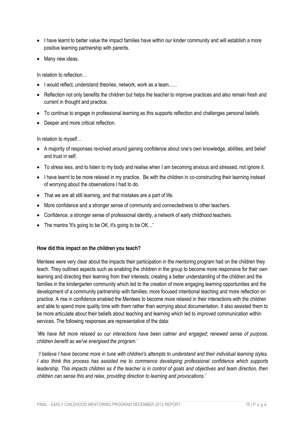- I have learnt to better value the impact families have within our kinder community and will establish a more positive learning partnership with parents.
- Many new ideas.

In relation to reflection…

- I would reflect, understand theories, network, work as a team......
- Reflection not only benefits the children but helps the teacher to improve practices and also remain fresh and current in thought and practice.
- To continue to engage in professional learning as this supports reflection and challenges personal beliefs.
- Deeper and more critical reflection.

In relation to myself…

- A majority of responses revolved around gaining confidence about one's own knowledge, abilities, and belief and trust in self.
- To stress less, and to listen to my body and realise when I am becoming anxious and stressed, not ignore it.
- I have learnt to be more relaxed in my practice. Be with the children in co-constructing their learning instead of worrying about the observations I had to do.
- That we are all still learning, and that mistakes are a part of life.
- More confidence and a stronger sense of community and connectedness to other teachers.
- Confidence, a stronger sense of professional identity, a network of early childhood teachers.
- The mantra 'It's going to be OK, it's going to be OK…'

#### **How did this impact on the children you teach?**

Mentees were very clear about the impacts their participation in the mentoring program had on the children they teach. They outlined aspects such as enabling the children in the group to become more responsive for their own learning and directing their learning from their interests; creating a better understanding of the children and the families in the kindergarten community which led to the creation of more engaging learning opportunities and the development of a community partnership with families; more focused intentional teaching and more reflection on practice. A rise in confidence enabled the Mentees to become more relaxed in their interactions with the children and able to spend more quality time with them rather than worrying about documentation. It also assisted them to be more articulate about their beliefs about teaching and learning which led to improved communication within services. The following responses are representative of the data:

*'We have felt more relaxed so our interactions have been calmer and engaged; renewed sense of purpose, children benefit as we've energised the program.'*

*'I believe I have become more in tune with children's attempts to understand and their individual learning styles. I also think this process has assisted me to commence developing professional confidence which supports leadership. This impacts children as if the teacher is in control of goals and objectives and team direction, then children can sense this and relax, providing direction to learning and provocations.'*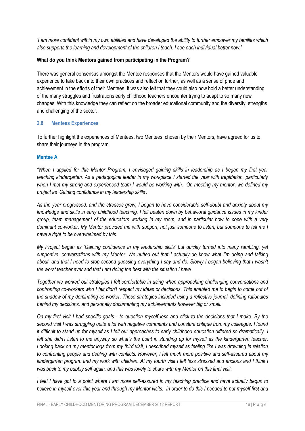*'I am more confident within my own abilities and have developed the ability to further empower my families which also supports the learning and development of the children I teach. I see each individual better now.'*

#### **What do you think Mentors gained from participating in the Program?**

There was general consensus amongst the Mentee responses that the Mentors would have gained valuable experience to take back into their own practices and reflect on further, as well as a sense of pride and achievement in the efforts of their Mentees. It was also felt that they could also now hold a better understanding of the many struggles and frustrations early childhood teachers encounter trying to adapt to so many new changes. With this knowledge they can reflect on the broader educational community and the diversity, strengths and challenging of the sector.

#### <span id="page-17-0"></span>**2.8 Mentees Experiences**

To further highlight the experiences of Mentees, two Mentees, chosen by their Mentors, have agreed for us to share their journeys in the program.

#### **Mentee A**

*"When I applied for this Mentor Program, I envisaged gaining skills in leadership as I began my first year teaching kindergarten. As a pedagogical leader in my workplace I started the year with trepidation, particularly when I met my strong and experienced team I would be working with. On meeting my mentor, we defined my project as 'Gaining confidence in my leadership skills'.* 

*As the year progressed, and the stresses grew, I began to have considerable self-doubt and anxiety about my knowledge and skills in early childhood teaching. I felt beaten down by behavioral guidance issues in my kinder group, team management of the educators working in my room, and in particular how to cope with a very dominant co-worker. My Mentor provided me with support; not just someone to listen, but someone to tell me I have a right to be overwhelmed by this.* 

*My Project began as 'Gaining confidence in my leadership skills' but quickly turned into many rambling, yet supportive, conversations with my Mentor. We nutted out that I actually do know what I'm doing and talking about, and that I need to stop second-guessing everything I say and do. Slowly I began believing that I wasn't the worst teacher ever and that I am doing the best with the situation I have.*

*Together we worked out strategies I felt comfortable in using when approaching challenging conversations and confronting co-workers who I felt didn't respect my ideas or decisions. This enabled me to begin to come out of the shadow of my dominating co-worker. These strategies included using a reflective journal, defining rationales behind my decisions, and personally documenting my achievements however big or small.* 

*On my first visit I had specific goals - to question myself less and stick to the decisions that I make. By the second visit I was struggling quite a lot with negative comments and constant critique from my colleague. I found it difficult to stand up for myself as I felt our approaches to early childhood education differed so dramatically. I felt she didn't listen to me anyway so what's the point in standing up for myself as the kindergarten teacher. Looking back on my mentor logs from my third visit, I described myself as feeling like I was drowning in relation to confronting people and dealing with conflicts. However, I felt much more positive and self-assured about my kindergarten program and my work with children. At my fourth visit I felt less stressed and anxious and I think I*  was back to my bubbly self again, and this was lovely to share with my Mentor on this final visit.

*I feel I have got to a point where I am more self-assured in my teaching practice and have actually begun to believe in myself over this year and through my Mentor visits. In order to do this I needed to put myself first and*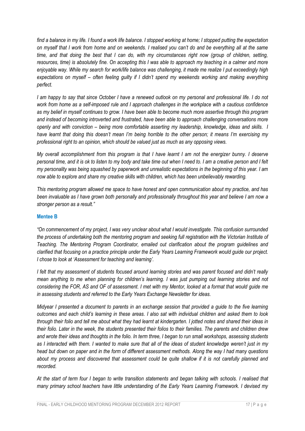*find a balance in my life. I found a work life balance. I stopped working at home; I stopped putting the expectation on myself that I work from home and on weekends. I realised you can't do and be everything all at the same time, and that doing the best that I can do, with my circumstances right now (group of children, setting, resources, time) is absolutely fine. On accepting this I was able to approach my teaching in a calmer and more enjoyable way. While my search for work/life balance was challenging, it made me realize I put exceedingly high expectations on myself – often feeling guilty if I didn't spend my weekends working and making everything perfect.* 

*I am happy to say that since October I have a renewed outlook on my personal and professional life. I do not work from home as a self-imposed rule and I approach challenges in the workplace with a cautious confidence as my belief in myself continues to grow. I have been able to become much more assertive through this program and instead of becoming introverted and frustrated, have been able to approach challenging conversations more openly and with conviction – being more comfortable asserting my leadership, knowledge, ideas and skills. I have learnt that doing this doesn't mean I'm being horrible to the other person; it means I'm exercising my professional right to an opinion, which should be valued just as much as any opposing views.* 

*My overall accomplishment from this program is that I have learnt I am not the energizer bunny. I deserve personal time, and it is ok to listen to my body and take time out when I need to. I am a creative person and I felt my personality was being squashed by paperwork and unrealistic expectations in the beginning of this year. I am now able to explore and share my creative skills with children, which has been unbelievably rewarding.* 

*This mentoring program allowed me space to have honest and open communication about my practice, and has been invaluable as I have grown both personally and professionally throughout this year and believe I am now a stronger person as a result."*

#### **Mentee B**

*"On commencement of my project, I was very unclear about what I would investigate. This confusion surrounded the process of undertaking both the mentoring program and seeking full registration with the Victorian Institute of Teaching. The Mentoring Program Coordinator, emailed out clarification about the program guidelines and clarified that focusing on a practice principle under the Early Years Learning Framework would guide our project. I chose to look at 'Assessment for teaching and learning'.* 

*I felt that my assessment of students focused around learning stories and was parent focused and didn't really mean anything to me when planning for children's learning. I was just pumping out learning stories and not considering the FOR, AS and OF of assessment. I met with my Mentor, looked at a format that would guide me in assessing students and referred to the Early Years Exchange Newsletter for ideas.*

*Midyear I presented a document to parents in an exchange session that provided a guide to the five learning outcomes and each child's learning in these areas. I also sat with individual children and asked them to look through their folio and tell me about what they had learnt at kindergarten. I jotted notes and shared their ideas in their folio. Later in the week, the students presented their folios to their families. The parents and children drew and wrote their ideas and thoughts in the folio. In term three, I began to run small workshops, assessing students as I interacted with them. I wanted to make sure that all of the ideas of student knowledge weren't just in my head but down on paper and in the form of different assessment methods. Along the way I had many questions about my process and discovered that assessment could be quite shallow if it is not carefully planned and recorded.*

*At the start of term four I began to write transition statements and began talking with schools. I realised that many primary school teachers have little understanding of the Early Years Learning Framework. I devised my*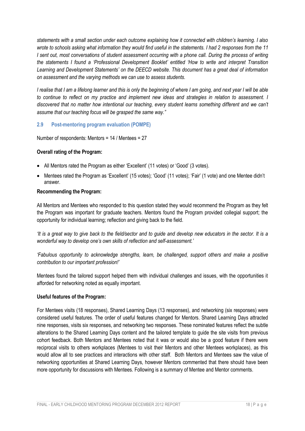*statements with a small section under each outcome explaining how it connected with children's learning. I also wrote to schools asking what information they would find useful in the statements. I had 2 responses from the 11 I sent out, most conversations of student assessment occurring with a phone call. During the process of writing the statements I found a 'Professional Development Booklet' entitled 'How to write and interpret Transition Learning and Development Statements' on the DEECD website. This document has a great deal of information on assessment and the varying methods we can use to assess students.*

*I realise that I am a lifelong learner and this is only the beginning of where I am going, and next year I will be able to continue to reflect on my practice and implement new ideas and strategies in relation to assessment. I discovered that no matter how intentional our teaching, every student learns something different and we can't assume that our teaching focus will be grasped the same way."*

#### <span id="page-19-0"></span>**2.9 Post-mentoring program evaluation (POMPE)**

Number of respondents: Mentors = 14 / Mentees = 27

#### **Overall rating of the Program:**

- All Mentors rated the Program as either 'Excellent' (11 votes) or 'Good' (3 votes).
- Mentees rated the Program as 'Excellent' (15 votes); 'Good' (11 votes); 'Fair' (1 vote) and one Mentee didn't answer.

#### **Recommending the Program:**

All Mentors and Mentees who responded to this question stated they would recommend the Program as they felt the Program was important for graduate teachers. Mentors found the Program provided collegial support; the opportunity for individual learning; reflection and giving back to the field.

*'It is a great way to give back to the field/sector and to guide and develop new educators in the sector. It is a wonderful way to develop one's own skills of reflection and self-assessment.'*

*'Fabulous opportunity to acknowledge strengths, learn, be challenged, support others and make a positive contribution to our important profession!'*

Mentees found the tailored support helped them with individual challenges and issues, with the opportunities it afforded for networking noted as equally important.

#### **Useful features of the Program:**

For Mentees visits (18 responses), Shared Learning Days (13 responses), and networking (six responses) were considered useful features. The order of useful features changed for Mentors. Shared Learning Days attracted nine responses, visits six responses, and networking two responses. These nominated features reflect the subtle alterations to the Shared Learning Days content and the tailored template to guide the site visits from previous cohort feedback. Both Mentors and Mentees noted that it was or would also be a good feature if there were reciprocal visits to others workplaces (Mentees to visit their Mentors and other Mentees workplaces), as this would allow all to see practices and interactions with other staff. Both Mentors and Mentees saw the value of networking opportunities at Shared Learning Days, however Mentors commented that there should have been more opportunity for discussions with Mentees. Following is a summary of Mentee and Mentor comments.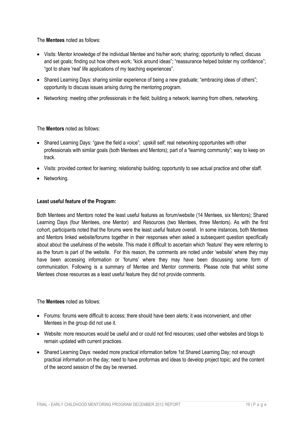The **Mentees** noted as follows:

- Visits: Mentor knowledge of the individual Mentee and his/her work; sharing; opportunity to reflect, discuss and set goals; finding out how others work; "kick around ideas"; "reassurance helped bolster my confidence"; "got to share 'real' life applications of my teaching experiences".
- Shared Learning Days: sharing similar experience of being a new graduate; "embracing ideas of others"; opportunity to discuss issues arising during the mentoring program.
- Networking: meeting other professionals in the field; building a network; learning from others, networking.

The **Mentors** noted as follows:

- Shared Learning Days: "gave the field a voice"; upskill self; real networking opportunites with other professionals with similar goals (both Mentees and Mentors); part of a "learning community"; way to keep on track.
- Visits: provided context for learning; relationship building; opportunity to see actual practice and other staff.
- Networking.

#### **Least useful feature of the Program:**

Both Mentees and Mentors noted the least useful features as forum/website (14 Mentees, six Mentors); Shared Learning Days (four Mentees, one Mentor) and Resources (two Mentees, three Mentors). As with the first cohort, participants noted that the forums were the least useful feature overall. In some instances, both Mentees and Mentors linked website/forums together in their responses when asked a subsequent question specifically about about the usefulness of the website. This made it difficult to ascertain which 'feature' they were referring to as the forum is part of the website. For this reason, the comments are noted under 'website' where they may have been accessing information or 'forums' where they may have been discussing some form of communication. Following is a summary of Mentee and Mentor comments. Please note that whilst some Mentees chose resources as a least useful feature they did not provide comments.

#### The **Mentees** noted as follows:

- Forums: forums were difficult to access; there should have been alerts; it was inconvenient, and other Mentees in the group did not use it.
- Website: more resources would be useful and or could not find resources; used other websites and blogs to remain updated with current practices.
- Shared Learning Days: needed more practical information before 1st Shared Learning Day; not enough practical information on the day; need to have proformas and ideas to develop project topic; and the content of the second session of the day be reversed.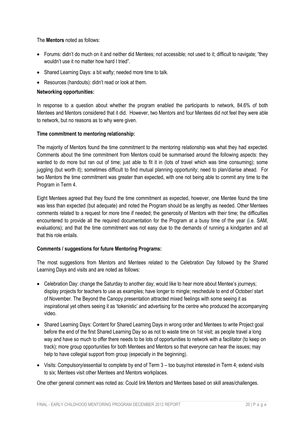The **Mentors** noted as follows:

- Forums: didn't do much on it and neither did Mentees; not accessible; not used to it; difficult to navigate; "they wouldn't use it no matter how hard I tried"
- Shared Learning Days: a bit wafty; needed more time to talk.
- Resources (handouts): didn't read or look at them.

#### **Networking opportunities:**

In response to a question about whether the program enabled the participants to network, 84.6% of both Mentees and Mentors considered that it did. However, two Mentors and four Mentees did not feel they were able to network, but no reasons as to why were given.

#### **Time commitment to mentoring relationship:**

The majority of Mentors found the time commitment to the mentoring relationship was what they had expected. Comments about the time commitment from Mentors could be summarised around the following aspects: they wanted to do more but ran out of time; just able to fit it in (lots of travel which was time consuming); some juggling (but worth it); sometimes difficult to find mutual planning opportunity; need to plan/diarise ahead. For two Mentors the time commitment was greater than expected, with one not being able to commit any time to the Program in Term 4.

Eight Mentees agreed that they found the time commitment as expected, however, one Mentee found the time was less than expected (but adequate) and noted the Program should be as lengthy as needed. Other Mentees comments related to a request for more time if needed; the generosity of Mentors with their time; the difficulties encountered to provide all the required documentation for the Program at a busy time of the year (i.e. SAM, evaluations); and that the time commitment was not easy due to the demands of running a kindgarten and all that this role entails.

#### **Comments / suggestions for future Mentoring Programs:**

The most suggestions from Mentors and Mentees related to the Celebration Day followed by the Shared Learning Days and visits and are noted as follows:

- Celebration Day: change the Saturday to another day; would like to hear more about Mentee's journeys; display projects for teachers to use as examples; have longer to mingle; reschedule to end of October/ start of November. The Beyond the Canopy presentation attracted mixed feelings with some seeing it as inspirational yet others seeing it as 'tokenistic' and advertising for the centre who produced the accompanying video.
- Shared Learning Days: Content for Shared Learning Days in wrong order and Mentees to write Project goal before the end of the first Shared Learning Day so as not to waste time on 1st visit; as people travel a long way and have so much to offer there needs to be lots of opportunities to network with a facilitator (to keep on track); more group opportunities for both Mentees and Mentors so that everyone can hear the issues; may help to have collegial support from group (especially in the beginning).
- Visits: Compulsory/essential to complete by end of Term 3 too busy/not interested in Term 4; extend visits to six; Mentees visit other Mentees and Mentors workplaces.

One other general comment was noted as: Could link Mentors and Mentees based on skill areas/challenges.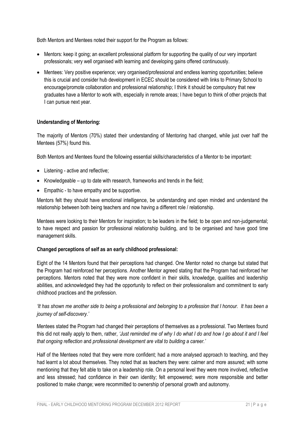Both Mentors and Mentees noted their support for the Program as follows:

- Mentors: keep it going; an excellent professional platform for supporting the quality of our very important professionals; very well organised with learning and developing gains offered continuously.
- Mentees: Very positive experience; very organised/professional and endless learning opportunities; believe this is crucial and consider hub development in ECEC should be considered with links to Primary School to encourage/promote collaboration and professional relationship; I think it should be compulsory that new graduates have a Mentor to work with, especially in remote areas; I have begun to think of other projects that I can pursue next year.

#### **Understanding of Mentoring:**

The majority of Mentors (70%) stated their understanding of Mentoring had changed, while just over half the Mentees (57%) found this.

Both Mentors and Mentees found the following essential skills/characteristics of a Mentor to be important:

- Listening active and reflective;
- Knowledgeable up to date with research, frameworks and trends in the field;
- Empathic to have empathy and be supportive.

Mentors felt they should have emotional intelligence, be understanding and open minded and understand the relationship between both being teachers and now having a different role / relationship.

Mentees were looking to their Mentors for inspiration; to be leaders in the field; to be open and non-judgemental; to have respect and passion for professional relationship building, and to be organised and have good time management skills.

#### **Changed perceptions of self as an early childhood professional:**

Eight of the 14 Mentors found that their perceptions had changed. One Mentor noted no change but stated that the Program had reinforced her perceptions. Another Mentor agreed stating that the Program had reinforced her perceptions. Mentors noted that they were more confident in their skills, knowledge, qualities and leadership abilities, and acknowledged they had the opportunity to reflect on their professionalism and commitment to early childhood practices and the profession.

#### *'It has shown me another side to being a professional and belonging to a profession that I honour. It has been a journey of self-discovery.'*

Mentees stated the Program had changed their perceptions of themselves as a professional. Two Mentees found this did not really apply to them, rather, *'Just reminded me of why I do what I do and how I go about it and I feel that ongoing reflection* and *professional development are vital to building a career.'*

Half of the Mentees noted that they were more confident; had a more analysed approach to teaching, and they had learnt a lot about themselves. They noted that as teachers they were: calmer and more assured; with some mentioning that they felt able to take on a leadership role. On a personal level they were more involved, reflective and less stressed; had confidence in their own identity; felt empowered; were more responsible and better positioned to make change; were recommitted to ownership of personal growth and autonomy.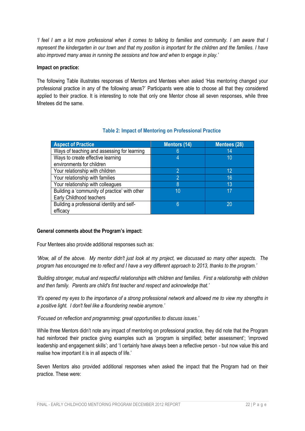*'I feel I am a lot more professional when it comes to talking to families and community. I am aware that I represent the kindergarten in our town and that my position is important for the children and the families. I have*  also improved many areas in running the sessions and how and when to engage in play.'

#### **Impact on practice:**

The following Table illustrates responses of Mentors and Mentees when asked 'Has mentoring changed your professional practice in any of the following areas?' Participants were able to choose all that they considered applied to their practice. It is interesting to note that only one Mentor chose all seven responses, while three Mnetees did the same.

#### **Table 2: Impact of Mentoring on Professional Practice**

| <b>Aspect of Practice</b>                     | <b>Mentors (14)</b> | Mentees (28) |
|-----------------------------------------------|---------------------|--------------|
| Ways of teaching and assessing for learning   | 6                   | 14           |
| Ways to create effective learning             |                     | 10           |
| environments for children                     |                     |              |
| Your relationship with children               | 2                   | 12           |
| Your relationship with families               | 2                   | 16           |
| Your relationship with colleagues             | 8                   | 13           |
| Building a 'community of practice' with other | 10                  | 17           |
| Early Childhood teachers                      |                     |              |
| Building a professional identity and self-    | 6                   | 20           |
| efficacy                                      |                     |              |

#### **General comments about the Program's impact:**

Four Mentees also provide additional responses such as:

*'Wow, all of the above. My mentor didn't just look at my project, we discussed so many other aspects. The program has encouraged me to reflect and I have a very different approach to 2013, thanks to the program.'*

*'Building stronger, mutual and respectful relationships with children and families. First a relationship with children and then family. Parents are child's first teacher and respect and acknowledge that.'*

*'It's opened my eyes to the importance of a strong professional network and allowed me to view my strengths in a positive light. I don't feel like a floundering newbie anymore.'*

*'Focused on reflection and programming; great opportunities to discuss issues.'*

While three Mentors didn't note any impact of mentoring on professional practice, they did note that the Program had reinforced their practice giving examples such as 'program is simplified; better assessment'; 'improved leadership and engagement skills'; and 'I certainly have always been a reflective person - but now value this and realise how important it is in all aspects of life.'

Seven Mentors also provided additional responses when asked the impact that the Program had on their practice. These were: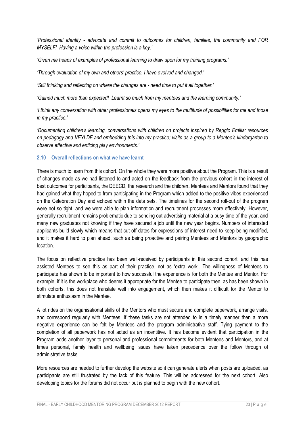*'Professional identity - advocate and commit to outcomes for children, families, the community and FOR MYSELF! Having a voice within the profession is a key.'*

*'Given me heaps of examples of professional learning to draw upon for my training programs.'*

*'Through evaluation of my own and others' practice, I have evolved and changed.'*

*'Still thinking and reflecting on where the changes are - need time to put it all together.'*

*'Gained much more than expected! Learnt so much from my mentees and the learning community.'*

*'I think any conversation with other professionals opens my eyes to the multitude of possibilities for me and those in my practice.'*

*'Documenting children's learning, conversations with children on projects inspired by Reggio Emilia; resources on pedagogy and VEYLDF and embedding this into my practice; visits as a group to a Mentee's kindergarten to observe effective and enticing play environments.'*

#### <span id="page-24-0"></span>**2.10 Overall reflections on what we have learnt**

There is much to learn from this cohort. On the whole they were more positive about the Program. This is a result of changes made as we had listened to and acted on the feedback from the previous cohort in the interest of best outcomes for participants, the DEECD, the research and the children. Mentees and Mentors found that they had gained what they hoped to from participating in the Program which added to the positive vibes experienced on the Celebration Day and echoed within the data sets. The timelines for the second roll-out of the program were not so tight, and we were able to plan information and recruitment processes more effectively. However, generally recruitment remains problematic due to sending out advertising material at a busy time of the year, and many new graduates not knowing if they have secured a job until the new year begins. Numbers of interested applicants build slowly which means that cut-off dates for expressions of interest need to keep being modified, and it makes it hard to plan ahead, such as being proactive and pairing Mentees and Mentors by geographic location.

The focus on reflective practice has been well-received by participants in this second cohort, and this has assisted Mentees to see this as part of their practice, not as 'extra work'. The willingness of Mentees to participate has shown to be important to how successful the experience is for both the Mentee and Mentor. For example, if it is the workplace who deems it appropriate for the Mentee to participate then, as has been shown in both cohorts, this does not translate well into engagement, which then makes it difficult for the Mentor to stimulate enthusiasm in the Mentee.

A lot rides on the organisational skills of the Mentors who must secure and complete paperwork, arrange visits, and correspond regularly with Mentees. If these tasks are not attended to in a timely manner then a more negative experience can be felt by Mentees and the program administrative staff. Tying payment to the completion of all paperwork has not acted as an incentitive. It has become evident that participation in the Program adds another layer to personal and professional commitments for both Mentees and Mentors, and at times personal, family health and wellbeing issues have taken precedence over the follow through of administrative tasks.

More resources are needed to further develop the website so it can generate alerts when posts are uploaded, as participants are still frustrated by the lack of this feature. This will be addressed for the next cohort. Also developing topics for the forums did not occur but is planned to begin with the new cohort.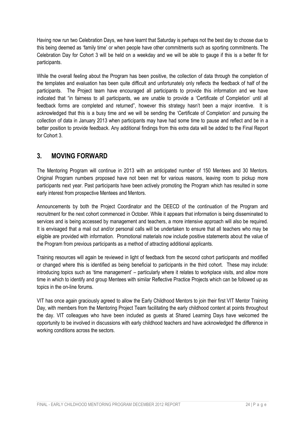Having now run two Celebration Days, we have learnt that Saturday is perhaps not the best day to choose due to this being deemed as 'family time' or when people have other commitments such as sporting commitments. The Celebration Day for Cohort 3 will be held on a weekday and we will be able to gauge if this is a better fit for participants.

While the overall feeling about the Program has been positive, the collection of data through the completion of the templates and evaluation has been quite difficult and unfortunately only reflects the feedback of half of the participants. The Project team have encouraged all participants to provide this information and we have indicated that "in fairness to all participants, we are unable to provide a 'Certificate of Completion' until all feedback forms are completed and returned", however this strategy hasn't been a major incentive. It is acknowledged that this is a busy time and we will be sending the 'Certificate of Completion' and pursuing the collection of data in January 2013 when participants may have had some time to pause and reflect and be in a better position to provide feedback. Any additional findings from this extra data will be added to the Final Report for Cohort 3.

### <span id="page-25-0"></span>**3. MOVING FORWARD**

The Mentoring Program will continue in 2013 with an anticipated number of 150 Mentees and 30 Mentors. Original Program numbers proposed have not been met for various reasons, leaving room to pickup more participants next year. Past participants have been actively promoting the Program which has resulted in some early interest from prospective Mentees and Mentors.

Announcements by both the Project Coordinator and the DEECD of the continuation of the Program and recruitment for the next cohort commenced in October. While it appears that information is being disseminated to services and is being accessed by management and teachers, a more intensive approach will also be required. It is envisaged that a mail out and/or personal calls will be undertaken to ensure that all teachers who may be eligible are provided with information. Promotional materials now include positive statements about the value of the Program from previous participants as a method of attracting additional applicants.

Training resources will again be reviewed in light of feedback from the second cohort participants and modified or changed where this is identified as being beneficial to participants in the third cohort. These may include: introducing topics such as 'time management' – particularly where it relates to workplace visits, and allow more time in which to identify and group Mentees with similar Reflective Practice Projects which can be followed up as topics in the on-line forums.

VIT has once again graciously agreed to allow the Early Childhood Mentors to join their first VIT Mentor Training Day, with members from the Mentoring Project Team facilitating the early childhood content at points throughout the day. VIT colleagues who have been included as guests at Shared Learning Days have welcomed the opportunity to be involved in discussions with early childhood teachers and have acknowledged the difference in working conditions across the sectors.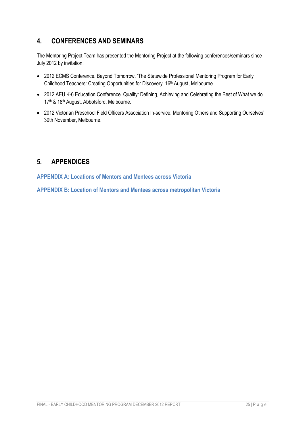# <span id="page-26-0"></span>**4. CONFERENCES AND SEMINARS**

The Mentoring Project Team has presented the Mentoring Project at the following conferences/seminars since July 2012 by invitation:

- 2012 ECMS Conference. Beyond Tomorrow. 'The Statewide Professional Mentoring Program for Early Childhood Teachers: Creating Opportunities for Discovery. 16<sup>th</sup> August, Melbourne.
- 2012 AEU K-6 Education Conference. Quality: Defining, Achieving and Celebrating the Best of What we do. 17<sup>th</sup> & 18<sup>th</sup> August, Abbotsford, Melbourne.
- 2012 Victorian Preschool Field Officers Association In-service: Mentoring Others and Supporting Ourselves' 30th November, Melbourne.

# <span id="page-26-1"></span>**5. APPENDICES**

**APPENDIX A: Locations of Mentors and Mentees across Victoria**

**APPENDIX B: Location of Mentors and Mentees across metropolitan Victoria**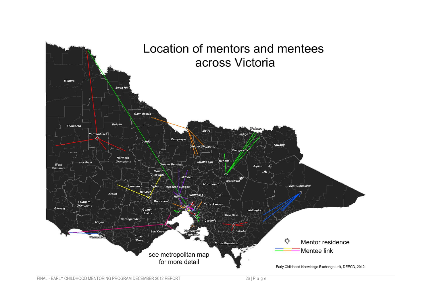